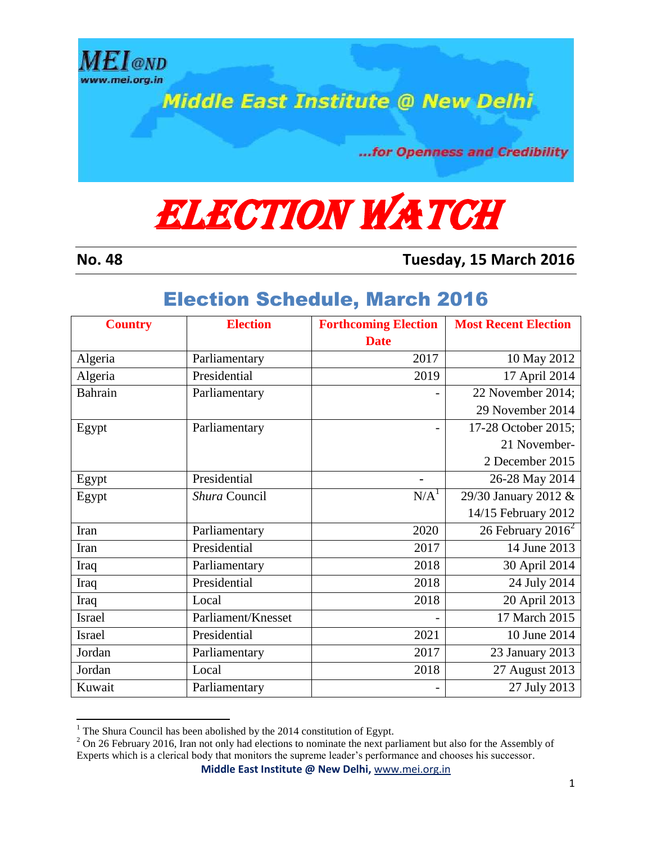

**Middle East Institute @ New Delhi** 

...for Openness and Credibility

## **ELECTION WATCH**

 $\overline{a}$ 

**No. 48 Tuesday, 15 March 2016**

## Election Schedule, March 2016

| <b>Country</b> | <b>Election</b>    | <b>Forthcoming Election</b> | <b>Most Recent Election</b> |
|----------------|--------------------|-----------------------------|-----------------------------|
|                |                    | <b>Date</b>                 |                             |
| Algeria        | Parliamentary      | 2017                        | 10 May 2012                 |
| Algeria        | Presidential       | 2019                        | 17 April 2014               |
| Bahrain        | Parliamentary      |                             | 22 November 2014;           |
|                |                    |                             | 29 November 2014            |
| Egypt          | Parliamentary      |                             | 17-28 October 2015;         |
|                |                    |                             | 21 November-                |
|                |                    |                             | 2 December 2015             |
| Egypt          | Presidential       |                             | 26-28 May 2014              |
| Egypt          | Shura Council      | N/A <sup>1</sup>            | 29/30 January 2012 &        |
|                |                    |                             | 14/15 February 2012         |
| Iran           | Parliamentary      | 2020                        | 26 February $2016^2$        |
| Iran           | Presidential       | 2017                        | 14 June 2013                |
| Iraq           | Parliamentary      | 2018                        | 30 April 2014               |
| Iraq           | Presidential       | 2018                        | 24 July 2014                |
| Iraq           | Local              | 2018                        | 20 April 2013               |
| Israel         | Parliament/Knesset |                             | 17 March 2015               |
| <b>Israel</b>  | Presidential       | 2021                        | 10 June 2014                |
| Jordan         | Parliamentary      | 2017                        | 23 January 2013             |
| Jordan         | Local              | 2018                        | 27 August 2013              |
| Kuwait         | Parliamentary      |                             | 27 July 2013                |

<sup>&</sup>lt;sup>1</sup> The Shura Council has been abolished by the 2014 constitution of Egypt.

**Middle East Institute @ New Delhi,** [www.mei.org.in](http://www.mei.org.in/)

<sup>&</sup>lt;sup>2</sup> On 26 February 2016, Iran not only had elections to nominate the next parliament but also for the Assembly of Experts which is a clerical body that monitors the supreme leader's performance and chooses his successor.